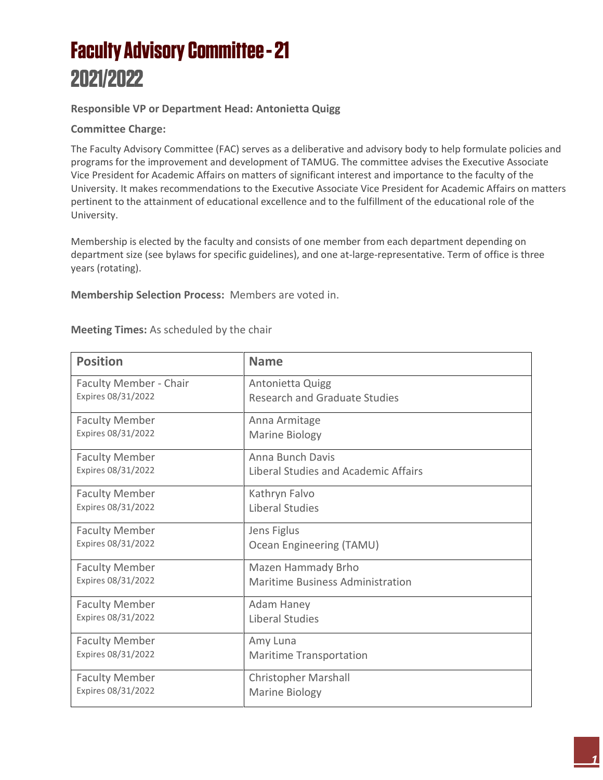## **Faculty Advisory Committee - 21** 2021/2022

## **Responsible VP or Department Head: Antonietta Quigg**

## **Committee Charge:**

The Faculty Advisory Committee (FAC) serves as a deliberative and advisory body to help formulate policies and programs for the improvement and development of TAMUG. The committee advises the Executive Associate Vice President for Academic Affairs on matters of significant interest and importance to the faculty of the University. It makes recommendations to the Executive Associate Vice President for Academic Affairs on matters pertinent to the attainment of educational excellence and to the fulfillment of the educational role of the University.

Membership is elected by the faculty and consists of one member from each department depending on department size (see bylaws for specific guidelines), and one at-large-representative. Term of office is three years (rotating).

**Membership Selection Process:** Members are voted in.

| <b>Position</b>        | <b>Name</b>                             |
|------------------------|-----------------------------------------|
| Faculty Member - Chair | Antonietta Quigg                        |
| Expires 08/31/2022     | <b>Research and Graduate Studies</b>    |
| <b>Faculty Member</b>  | Anna Armitage                           |
| Expires 08/31/2022     | Marine Biology                          |
| <b>Faculty Member</b>  | Anna Bunch Davis                        |
| Expires 08/31/2022     | Liberal Studies and Academic Affairs    |
| <b>Faculty Member</b>  | Kathryn Falvo                           |
| Expires 08/31/2022     | <b>Liberal Studies</b>                  |
| <b>Faculty Member</b>  | Jens Figlus                             |
| Expires 08/31/2022     | Ocean Engineering (TAMU)                |
| <b>Faculty Member</b>  | Mazen Hammady Brho                      |
| Expires 08/31/2022     | <b>Maritime Business Administration</b> |
| <b>Faculty Member</b>  | Adam Haney                              |
| Expires 08/31/2022     | <b>Liberal Studies</b>                  |
| <b>Faculty Member</b>  | Amy Luna                                |
| Expires 08/31/2022     | <b>Maritime Transportation</b>          |
| <b>Faculty Member</b>  | <b>Christopher Marshall</b>             |
| Expires 08/31/2022     | Marine Biology                          |

## **Meeting Times:** As scheduled by the chair